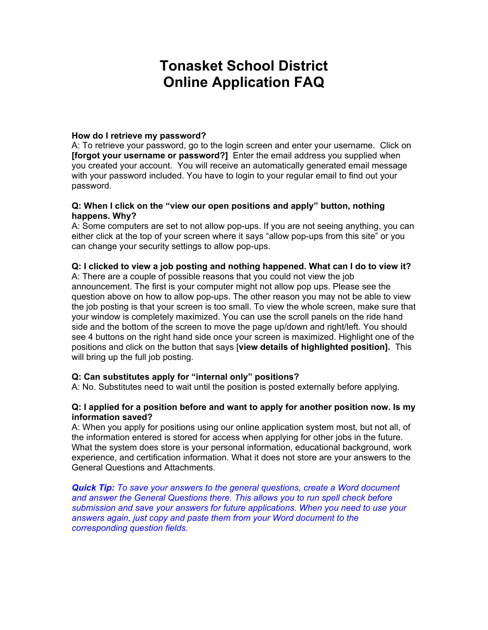# **Tonasket School District Online Application FAQ**

## **How do I retrieve my password?**

A: To retrieve your password, go to the login screen and enter your username. Click on **[forgot your username or password?]** Enter the email address you supplied when you created your account. You will receive an automatically generated email message with your password included. You have to login to your regular email to find out your password.

## **Q: When I click on the "view our open positions and apply" button, nothing happens. Why?**

A: Some computers are set to not allow pop-ups. If you are not seeing anything, you can either click at the top of your screen where it says "allow pop-ups from this site" or you can change your security settings to allow pop-ups.

## **Q: I clicked to view a job posting and nothing happened. What can I do to view it?**

A: There are a couple of possible reasons that you could not view the job announcement. The first is your computer might not allow pop ups. Please see the question above on how to allow pop-ups. The other reason you may not be able to view the job posting is that your screen is too small. To view the whole screen, make sure that your window is completely maximized. You can use the scroll panels on the ride hand side and the bottom of the screen to move the page up/down and right/left. You should see 4 buttons on the right hand side once your screen is maximized. Highlight one of the positions and click on the button that says [**view details of highlighted position].** This will bring up the full job posting.

## **Q: Can substitutes apply for "internal only" positions?**

A: No. Substitutes need to wait until the position is posted externally before applying.

#### **Q: I applied for a position before and want to apply for another position now. Is my information saved?**

A: When you apply for positions using our online application system most, but not all, of the information entered is stored for access when applying for other jobs in the future. What the system does store is your personal information, educational background, work experience, and certification information. What it does not store are your answers to the General Questions and Attachments.

*Quick Tip: To save your answers to the general questions, create a Word document and answer the General Questions there. This allows you to run spell check before submission and save your answers for future applications. When you need to use your answers again, just copy and paste them from your Word document to the corresponding question fields.*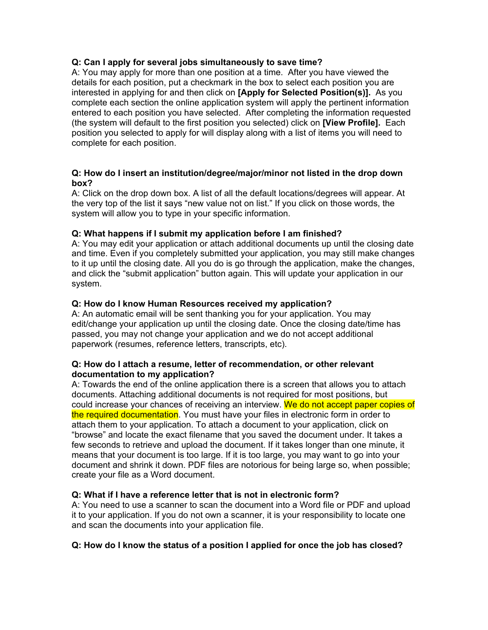## **Q: Can I apply for several jobs simultaneously to save time?**

A: You may apply for more than one position at a time. After you have viewed the details for each position, put a checkmark in the box to select each position you are interested in applying for and then click on **[Apply for Selected Position(s)].** As you complete each section the online application system will apply the pertinent information entered to each position you have selected. After completing the information requested (the system will default to the first position you selected) click on **[View Profile].** Each position you selected to apply for will display along with a list of items you will need to complete for each position.

## **Q: How do I insert an institution/degree/major/minor not listed in the drop down box?**

A: Click on the drop down box. A list of all the default locations/degrees will appear. At the very top of the list it says "new value not on list." If you click on those words, the system will allow you to type in your specific information.

#### **Q: What happens if I submit my application before I am finished?**

A: You may edit your application or attach additional documents up until the closing date and time. Even if you completely submitted your application, you may still make changes to it up until the closing date. All you do is go through the application, make the changes, and click the "submit application" button again. This will update your application in our system.

#### **Q: How do I know Human Resources received my application?**

A: An automatic email will be sent thanking you for your application. You may edit/change your application up until the closing date. Once the closing date/time has passed, you may not change your application and we do not accept additional paperwork (resumes, reference letters, transcripts, etc).

#### **Q: How do I attach a resume, letter of recommendation, or other relevant documentation to my application?**

A: Towards the end of the online application there is a screen that allows you to attach documents. Attaching additional documents is not required for most positions, but could increase your chances of receiving an interview. We do not accept paper copies of the required documentation. You must have your files in electronic form in order to attach them to your application. To attach a document to your application, click on "browse" and locate the exact filename that you saved the document under. It takes a few seconds to retrieve and upload the document. If it takes longer than one minute, it means that your document is too large. If it is too large, you may want to go into your document and shrink it down. PDF files are notorious for being large so, when possible; create your file as a Word document.

## **Q: What if I have a reference letter that is not in electronic form?**

A: You need to use a scanner to scan the document into a Word file or PDF and upload it to your application. If you do not own a scanner, it is your responsibility to locate one and scan the documents into your application file.

## **Q: How do I know the status of a position I applied for once the job has closed?**